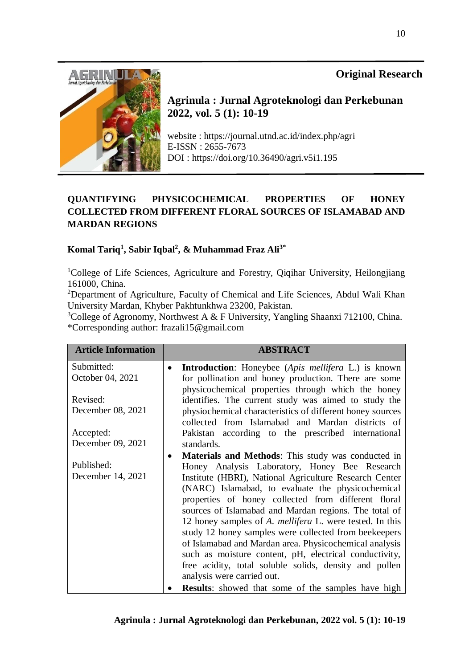# **Original Research**



**Agrinula : Jurnal Agroteknologi dan Perkebunan 2022, vol. 5 (1): 10-19**

website : https://journal.utnd.ac.id/index.php/agri E-ISSN : 2655-7673 DOI : https://doi.org/10.36490/agri.v5i1.195

# **QUANTIFYING PHYSICOCHEMICAL PROPERTIES OF HONEY COLLECTED FROM DIFFERENT FLORAL SOURCES OF ISLAMABAD AND MARDAN REGIONS**

## **Komal Tariq<sup>1</sup> , Sabir Iqbal<sup>2</sup> , & Muhammad Fraz Ali3\***

<sup>1</sup>College of Life Sciences, Agriculture and Forestry, Qiqihar University, Heilongjiang 161000, China.

<sup>2</sup>Department of Agriculture, Faculty of Chemical and Life Sciences, Abdul Wali Khan University Mardan, Khyber Pakhtunkhwa 23200, Pakistan.

<sup>3</sup>College of Agronomy, Northwest A & F University, Yangling Shaanxi 712100, China. \*Corresponding author: frazali15@gmail.com

| <b>Article Information</b> | <b>ABSTRACT</b>                                                 |  |  |
|----------------------------|-----------------------------------------------------------------|--|--|
| Submitted:                 | <b>Introduction:</b> Honeybee (Apis mellifera L.) is known      |  |  |
| October 04, 2021           | for pollination and honey production. There are some            |  |  |
|                            | physicochemical properties through which the honey              |  |  |
| Revised:                   | identifies. The current study was aimed to study the            |  |  |
| December 08, 2021          | physiochemical characteristics of different honey sources       |  |  |
|                            | collected from Islamabad and Mardan districts of                |  |  |
| Accepted:                  | Pakistan according to the prescribed international              |  |  |
| December 09, 2021          | standards.                                                      |  |  |
|                            | <b>Materials and Methods:</b> This study was conducted in       |  |  |
| Published:                 | Honey Analysis Laboratory, Honey Bee Research                   |  |  |
| December 14, 2021          | Institute (HBRI), National Agriculture Research Center          |  |  |
|                            | (NARC) Islamabad, to evaluate the physicochemical               |  |  |
|                            | properties of honey collected from different floral             |  |  |
|                            | sources of Islamabad and Mardan regions. The total of           |  |  |
|                            | 12 honey samples of A. <i>mellifera</i> L. were tested. In this |  |  |
|                            | study 12 honey samples were collected from beekeepers           |  |  |
|                            | of Islamabad and Mardan area. Physicochemical analysis          |  |  |
|                            | such as moisture content, pH, electrical conductivity,          |  |  |
|                            | free acidity, total soluble solids, density and pollen          |  |  |
|                            | analysis were carried out.                                      |  |  |
|                            | <b>Results:</b> showed that some of the samples have high       |  |  |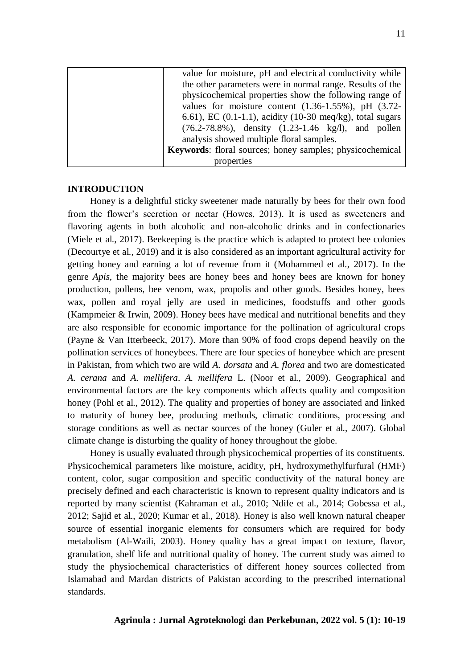| value for moisture, pH and electrical conductivity while                |  |  |  |
|-------------------------------------------------------------------------|--|--|--|
| the other parameters were in normal range. Results of the               |  |  |  |
| physicochemical properties show the following range of                  |  |  |  |
| values for moisture content $(1.36-1.55\%)$ , pH $(3.72-$               |  |  |  |
| 6.61), EC $(0.1-1.1)$ , acidity $(10-30 \text{ meg/kg})$ , total sugars |  |  |  |
| $(76.2 - 78.8\%)$ , density $(1.23 - 1.46 \text{ kg/l})$ , and pollen   |  |  |  |
| analysis showed multiple floral samples.                                |  |  |  |
| <b>Keywords:</b> floral sources; honey samples; physicochemical         |  |  |  |
| properties                                                              |  |  |  |

#### **INTRODUCTION**

Honey is a delightful sticky sweetener made naturally by bees for their own food from the flower's secretion or nectar (Howes, 2013). It is used as sweeteners and flavoring agents in both alcoholic and non-alcoholic drinks and in confectionaries (Miele et al., 2017). Beekeeping is the practice which is adapted to protect bee colonies (Decourtye et al., 2019) and it is also considered as an important agricultural activity for getting honey and earning a lot of revenue from it (Mohammed et al., 2017). In the genre *Apis*, the majority bees are honey bees and honey bees are known for honey production, pollens, bee venom, wax, propolis and other goods. Besides honey, bees wax, pollen and royal jelly are used in medicines, foodstuffs and other goods (Kampmeier & Irwin, 2009). Honey bees have medical and nutritional benefits and they are also responsible for economic importance for the pollination of agricultural crops (Payne & Van Itterbeeck, 2017). More than 90% of food crops depend heavily on the pollination services of honeybees. There are four species of honeybee which are present in Pakistan, from which two are wild *A. dorsata* and *A. florea* and two are domesticated *A. cerana* and *A. mellifera*. *A. mellifera* L. (Noor et al., 2009). Geographical and environmental factors are the key components which affects quality and composition honey (Pohl et al., 2012). The quality and properties of honey are associated and linked to maturity of honey bee, producing methods, climatic conditions, processing and storage conditions as well as nectar sources of the honey (Guler et al., 2007). Global climate change is disturbing the quality of honey throughout the globe.

Honey is usually evaluated through physicochemical properties of its constituents. Physicochemical parameters like moisture, acidity, pH, hydroxymethylfurfural (HMF) content, color, sugar composition and specific conductivity of the natural honey are precisely defined and each characteristic is known to represent quality indicators and is reported by many scientist (Kahraman et al., 2010; Ndife et al., 2014; Gobessa et al., 2012; Sajid et al., 2020; Kumar et al., 2018). Honey is also well known natural cheaper source of essential inorganic elements for consumers which are required for body metabolism (Al-Waili, 2003). Honey quality has a great impact on texture, flavor, granulation, shelf life and nutritional quality of honey. The current study was aimed to study the physiochemical characteristics of different honey sources collected from Islamabad and Mardan districts of Pakistan according to the prescribed international standards.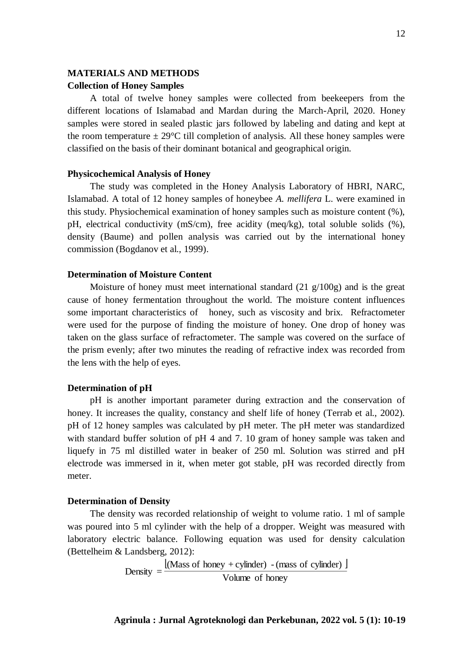# **MATERIALS AND METHODS Collection of Honey Samples**

A total of twelve honey samples were collected from beekeepers from the different locations of Islamabad and Mardan during the March-April, 2020. Honey samples were stored in sealed plastic jars followed by labeling and dating and kept at the room temperature  $\pm 29^{\circ}$ C till completion of analysis. All these honey samples were classified on the basis of their dominant botanical and geographical origin.

#### **Physicochemical Analysis of Honey**

The study was completed in the Honey Analysis Laboratory of HBRI, NARC, Islamabad. A total of 12 honey samples of honeybee *A. mellifera* L. were examined in this study. Physiochemical examination of honey samples such as moisture content (%), pH, electrical conductivity (mS/cm), free acidity (meq/kg), total soluble solids (%), density (Baume) and pollen analysis was carried out by the international honey commission (Bogdanov et al., 1999).

## **Determination of Moisture Content**

Moisture of honey must meet international standard  $(21 \text{ g}/100 \text{g})$  and is the great cause of honey fermentation throughout the world. The moisture content influences some important characteristics of honey, such as viscosity and brix. Refractometer were used for the purpose of finding the moisture of honey. One drop of honey was taken on the glass surface of refractometer. The sample was covered on the surface of the prism evenly; after two minutes the reading of refractive index was recorded from the lens with the help of eyes.

### **Determination of pH**

pH is another important parameter during extraction and the conservation of honey. It increases the quality, constancy and shelf life of honey (Terrab et al., 2002). pH of 12 honey samples was calculated by pH meter. The pH meter was standardized with standard buffer solution of pH 4 and 7.10 gram of honey sample was taken and liquefy in 75 ml distilled water in beaker of 250 ml. Solution was stirred and pH electrode was immersed in it, when meter got stable, pH was recorded directly from meter.

### **Determination of Density**

The density was recorded relationship of weight to volume ratio. 1 ml of sample was poured into 5 ml cylinder with the help of a dropper. Weight was measured with laboratory electric balance. Following equation was used for density calculation (Bettelheim & Landsberg, 2012):

> $\left[$ (Mass of honey + cylinder) - (mass of cylinder)  $\left[$ Volume of honey (Mass of honey + cylinder) -(mass of cylinder) Density  $=$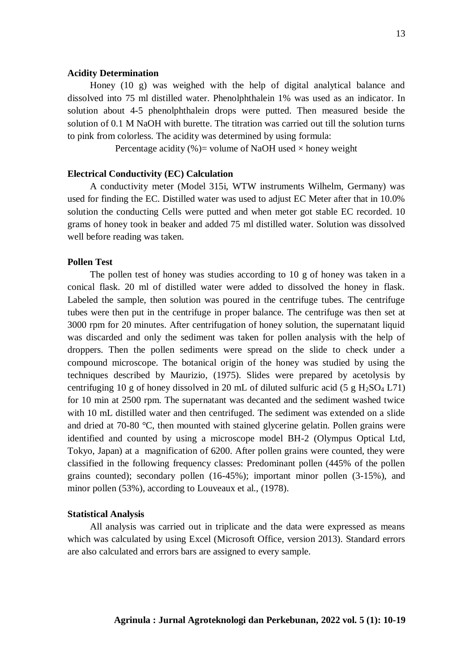### **Acidity Determination**

Honey (10 g) was weighed with the help of digital analytical balance and dissolved into 75 ml distilled water. Phenolphthalein 1% was used as an indicator. In solution about 4-5 phenolphthalein drops were putted. Then measured beside the solution of 0.1 M NaOH with burette. The titration was carried out till the solution turns to pink from colorless. The acidity was determined by using formula:

Percentage acidity (%)= volume of NaOH used  $\times$  honey weight

## **Electrical Conductivity (EC) Calculation**

A conductivity meter (Model 315i, WTW instruments Wilhelm, Germany) was used for finding the EC. Distilled water was used to adjust EC Meter after that in 10.0% solution the conducting Cells were putted and when meter got stable EC recorded. 10 grams of honey took in beaker and added 75 ml distilled water. Solution was dissolved well before reading was taken.

#### **Pollen Test**

The pollen test of honey was studies according to 10 g of honey was taken in a conical flask. 20 ml of distilled water were added to dissolved the honey in flask. Labeled the sample, then solution was poured in the centrifuge tubes. The centrifuge tubes were then put in the centrifuge in proper balance. The centrifuge was then set at 3000 rpm for 20 minutes. After centrifugation of honey solution, the supernatant liquid was discarded and only the sediment was taken for pollen analysis with the help of droppers. Then the pollen sediments were spread on the slide to check under a compound microscope. The botanical origin of the honey was studied by using the techniques described by Maurizio, (1975). Slides were prepared by acetolysis by centrifuging 10 g of honey dissolved in 20 mL of diluted sulfuric acid (5 g  $H_2SO_4$  L71) for 10 min at 2500 rpm. The supernatant was decanted and the sediment washed twice with 10 mL distilled water and then centrifuged. The sediment was extended on a slide and dried at 70-80 °C, then mounted with stained glycerine gelatin. Pollen grains were identified and counted by using a microscope model BH-2 (Olympus Optical Ltd, Tokyo, Japan) at a magnification of 6200. After pollen grains were counted, they were classified in the following frequency classes: Predominant pollen (445% of the pollen grains counted); secondary pollen (16-45%); important minor pollen (3-15%), and minor pollen (53%), according to Louveaux et al., (1978).

#### **Statistical Analysis**

All analysis was carried out in triplicate and the data were expressed as means which was calculated by using Excel (Microsoft Office, version 2013). Standard errors are also calculated and errors bars are assigned to every sample.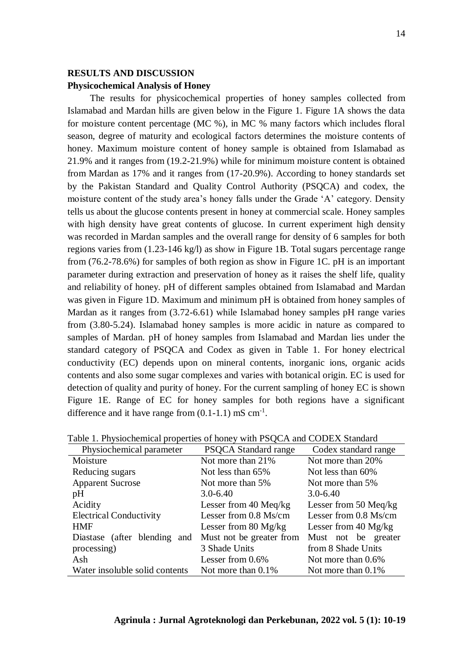## **RESULTS AND DISCUSSION Physicochemical Analysis of Honey**

The results for physicochemical properties of honey samples collected from Islamabad and Mardan hills are given below in the Figure 1. Figure 1A shows the data for moisture content percentage (MC %), in MC % many factors which includes floral season, degree of maturity and ecological factors determines the moisture contents of honey. Maximum moisture content of honey sample is obtained from Islamabad as 21.9% and it ranges from (19.2-21.9%) while for minimum moisture content is obtained from Mardan as 17% and it ranges from (17-20.9%). According to honey standards set by the Pakistan Standard and Quality Control Authority (PSQCA) and codex, the moisture content of the study area's honey falls under the Grade 'A' category. Density tells us about the glucose contents present in honey at commercial scale. Honey samples with high density have great contents of glucose. In current experiment high density was recorded in Mardan samples and the overall range for density of 6 samples for both regions varies from (1.23-146 kg/l) as show in Figure 1B. Total sugars percentage range from (76.2-78.6%) for samples of both region as show in Figure 1C. pH is an important parameter during extraction and preservation of honey as it raises the shelf life, quality and reliability of honey. pH of different samples obtained from Islamabad and Mardan was given in Figure 1D. Maximum and minimum pH is obtained from honey samples of Mardan as it ranges from (3.72-6.61) while Islamabad honey samples pH range varies from (3.80-5.24). Islamabad honey samples is more acidic in nature as compared to samples of Mardan. pH of honey samples from Islamabad and Mardan lies under the standard category of PSQCA and Codex as given in Table 1. For honey electrical conductivity (EC) depends upon on mineral contents, inorganic ions, organic acids contents and also some sugar complexes and varies with botanical origin. EC is used for detection of quality and purity of honey. For the current sampling of honey EC is shown Figure 1E. Range of EC for honey samples for both regions have a significant difference and it have range from  $(0.1-1.1)$  mS cm<sup>-1</sup>.

| Physiochemical parameter       | <b>PSQCA</b> Standard range    | Codex standard range   |  |
|--------------------------------|--------------------------------|------------------------|--|
| Moisture                       | Not more than 21%              | Not more than 20%      |  |
| Reducing sugars                | Not less than 65%              | Not less than 60%      |  |
| <b>Apparent Sucrose</b>        | Not more than 5%               | Not more than 5%       |  |
| pH                             | $3.0 - 6.40$                   | $3.0 - 6.40$           |  |
| Acidity                        | Lesser from 40 Meq/kg          | Lesser from 50 Meq/kg  |  |
| <b>Electrical Conductivity</b> | Lesser from 0.8 Ms/cm          | Lesser from 0.8 Ms/cm  |  |
| <b>HMF</b>                     | Lesser from $80 \text{ Mg/kg}$ | Lesser from $40$ Mg/kg |  |
| Diastase (after blending and   | Must not be greater from       | Must not be greater    |  |
| processing)                    | 3 Shade Units                  | from 8 Shade Units     |  |
| Ash                            | Lesser from $0.6\%$            | Not more than 0.6%     |  |
| Water insoluble solid contents | Not more than $0.1\%$          | Not more than $0.1\%$  |  |

Table 1. Physiochemical properties of honey with PSQCA and CODEX Standard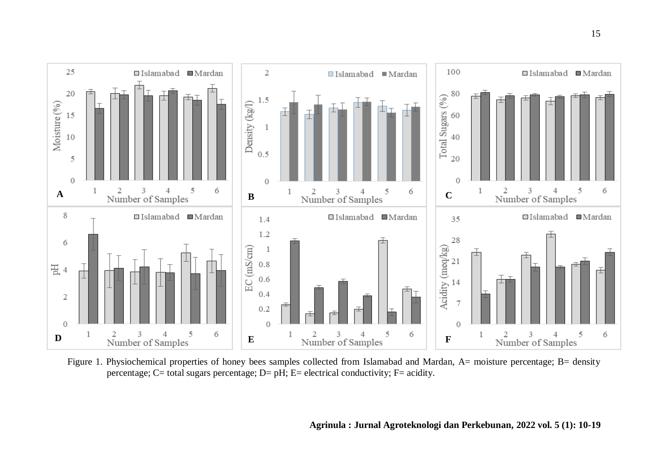

Figure 1. Physiochemical properties of honey bees samples collected from Islamabad and Mardan, A= moisture percentage; B= density percentage;  $C=$  total sugars percentage;  $D=$  pH;  $E=$  electrical conductivity;  $F=$  acidity.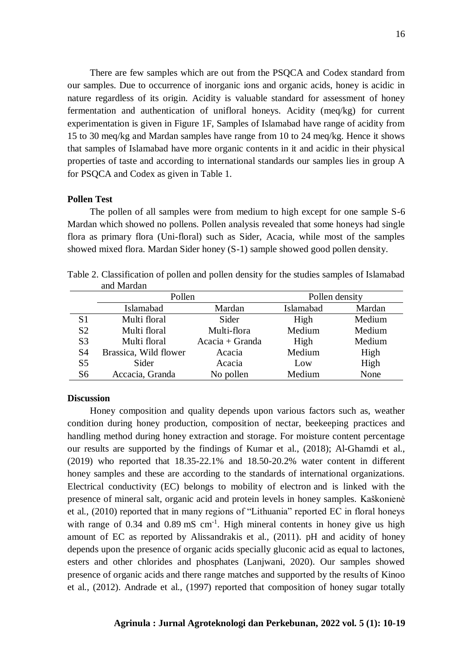There are few samples which are out from the PSQCA and Codex standard from our samples. Due to occurrence of inorganic ions and organic acids, honey is acidic in nature regardless of its origin. Acidity is valuable standard for assessment of honey fermentation and authentication of unifloral honeys. Acidity (meq/kg) for current experimentation is given in Figure 1F, Samples of Islamabad have range of acidity from 15 to 30 meq/kg and Mardan samples have range from 10 to 24 meq/kg. Hence it shows that samples of Islamabad have more organic contents in it and acidic in their physical properties of taste and according to international standards our samples lies in group A for PSQCA and Codex as given in Table 1.

## **Pollen Test**

The pollen of all samples were from medium to high except for one sample S-6 Mardan which showed no pollens. Pollen analysis revealed that some honeys had single flora as primary flora (Uni-floral) such as Sider, Acacia, while most of the samples showed mixed flora. Mardan Sider honey (S-1) sample showed good pollen density.

|                | Pollen                |                  | Pollen density |        |
|----------------|-----------------------|------------------|----------------|--------|
|                | Islamabad             | Mardan           | Islamabad      | Mardan |
| S <sub>1</sub> | Multi floral          | Sider            | High           | Medium |
| S <sub>2</sub> | Multi floral          | Multi-flora      | Medium         | Medium |
| S <sub>3</sub> | Multi floral          | $Accia + Granda$ | High           | Medium |
| S <sub>4</sub> | Brassica, Wild flower | Acacia           | Medium         | High   |
| S <sub>5</sub> | Sider                 | Acacia           | Low            | High   |
| S <sub>6</sub> | Accacia, Granda       | No pollen        | Medium         | None   |

Table 2. Classification of pollen and pollen density for the studies samples of Islamabad and Mardan

### **Discussion**

Honey composition and quality depends upon various factors such as, weather condition during honey production, composition of nectar, beekeeping practices and handling method during honey extraction and storage. For moisture content percentage our results are supported by the findings of Kumar et al., (2018); Al-Ghamdi et al., (2019) who reported that 18.35-22.1% and 18.50-20.2% water content in different honey samples and these are according to the standards of international organizations. Electrical conductivity (EC) belongs to mobility of electron and is linked with the presence of mineral salt, organic acid and protein levels in honey samples. Kaškonienė et al., (2010) reported that in many regions of "Lithuania" reported EC in floral honeys with range of  $0.34$  and  $0.89$  mS cm<sup>-1</sup>. High mineral contents in honey give us high amount of EC as reported by Alissandrakis et al., (2011). pH and acidity of honey depends upon the presence of organic acids specially gluconic acid as equal to lactones, esters and other chlorides and phosphates (Lanjwani, 2020). Our samples showed presence of organic acids and there range matches and supported by the results of Kinoo et al., (2012). Andrade et al., (1997) reported that composition of honey sugar totally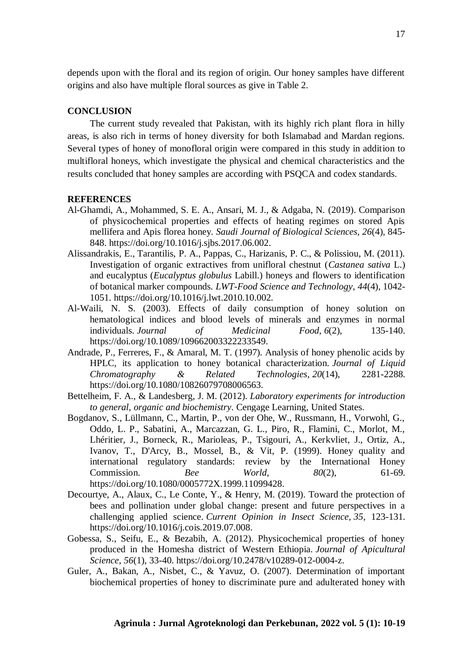depends upon with the floral and its region of origin. Our honey samples have different origins and also have multiple floral sources as give in Table 2.

### **CONCLUSION**

The current study revealed that Pakistan, with its highly rich plant flora in hilly areas, is also rich in terms of honey diversity for both Islamabad and Mardan regions. Several types of honey of monofloral origin were compared in this study in addition to multifloral honeys, which investigate the physical and chemical characteristics and the results concluded that honey samples are according with PSQCA and codex standards.

#### **REFERENCES**

- Al-Ghamdi, A., Mohammed, S. E. A., Ansari, M. J., & Adgaba, N. (2019). Comparison of physicochemical properties and effects of heating regimes on stored Apis mellifera and Apis florea honey. *Saudi Journal of Biological Sciences*, *26*(4), 845- 848. https://doi.org/10.1016/j.sjbs.2017.06.002.
- Alissandrakis, E., Tarantilis, P. A., Pappas, C., Harizanis, P. C., & Polissiou, M. (2011). Investigation of organic extractives from unifloral chestnut (*Castanea sativa* L.) and eucalyptus (*Eucalyptus globulus* Labill.) honeys and flowers to identification of botanical marker compounds. *LWT-Food Science and Technology*, *44*(4), 1042- 1051. https://doi.org/10.1016/j.lwt.2010.10.002.
- Al-Waili, N. S. (2003). Effects of daily consumption of honey solution on hematological indices and blood levels of minerals and enzymes in normal individuals. *Journal of Medicinal Food*, *6*(2), 135-140. https://doi.org/10.1089/109662003322233549.
- Andrade, P., Ferreres, F., & Amaral, M. T. (1997). Analysis of honey phenolic acids by HPLC, its application to honey botanical characterization. *Journal of Liquid Chromatography & Related Technologies*, *20*(14), 2281-2288. https://doi.org/10.1080/10826079708006563.
- Bettelheim, F. A., & Landesberg, J. M. (2012). *Laboratory experiments for introduction to general, organic and biochemistry*. Cengage Learning, United States.
- Bogdanov, S., Lüllmann, C., Martin, P., von der Ohe, W., Russmann, H., Vorwohl, G., Oddo, L. P., Sabatini, A., Marcazzan, G. L., Piro, R., Flamini, C., Morlot, M., [Lhéritier,](https://www.tandfonline.com/author/Lh%C3%A9ritier%2C+Joel) J., Borneck, R., Marioleas, P., Tsigouri, A., Kerkvliet, J., Ortiz, A., Ivanov, T., D'Arcy, B., Mossel, B., & Vit, P. (1999). Honey quality and international regulatory standards: review by the International Honey Commission. *Bee World*, *80*(2), 61-69. https://doi.org/10.1080/0005772X.1999.11099428.
- Decourtye, A., Alaux, C., Le Conte, Y., & Henry, M. (2019). Toward the protection of bees and pollination under global change: present and future perspectives in a challenging applied science. *Current Opinion in Insect Science*, *35*, 123-131. https://doi.org/10.1016/j.cois.2019.07.008.
- Gobessa, S., Seifu, E., & Bezabih, A. (2012). Physicochemical properties of honey produced in the Homesha district of Western Ethiopia. *Journal of Apicultural Science*, *56*(1), 33-40. https://doi.org/10.2478/v10289-012-0004-z.
- Guler, A., Bakan, A., Nisbet, C., & Yavuz, O. (2007). Determination of important biochemical properties of honey to discriminate pure and adulterated honey with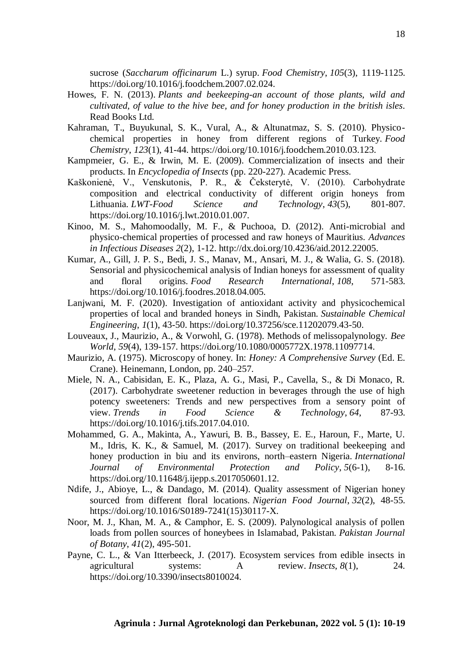sucrose (*Saccharum officinarum* L.) syrup. *Food Chemistry*, *105*(3), 1119-1125. https://doi.org/10.1016/j.foodchem.2007.02.024.

- Howes, F. N. (2013). *Plants and beekeeping-an account of those plants, wild and cultivated, of value to the hive bee, and for honey production in the british isles*. Read Books Ltd.
- Kahraman, T., Buyukunal, S. K., Vural, A., & Altunatmaz, S. S. (2010). Physicochemical properties in honey from different regions of Turkey. *Food Chemistry*, *123*(1), 41-44. https://doi.org/10.1016/j.foodchem.2010.03.123.
- Kampmeier, G. E., & Irwin, M. E. (2009). Commercialization of insects and their products. In *Encyclopedia of Insects* (pp. 220-227). Academic Press.
- Kaškonienė, V., Venskutonis, P. R., & Čeksterytė, V. (2010). Carbohydrate composition and electrical conductivity of different origin honeys from Lithuania. *LWT-Food Science and Technology*, *43*(5), 801-807. https://doi.org/10.1016/j.lwt.2010.01.007.
- Kinoo, M. S., Mahomoodally, M. F., & Puchooa, D. (2012). Anti-microbial and physico-chemical properties of processed and raw honeys of Mauritius. *Advances in Infectious Diseases 2*(2), 1-12. http://dx.doi.org/10.4236/aid.2012.22005.
- Kumar, A., Gill, J. P. S., Bedi, J. S., Manav, M., Ansari, M. J., & Walia, G. S. (2018). Sensorial and physicochemical analysis of Indian honeys for assessment of quality and floral origins. *Food Research International*, *108*, 571-583. https://doi.org/10.1016/j.foodres.2018.04.005.
- Lanjwani, M. F. (2020). Investigation of antioxidant activity and physicochemical properties of local and branded honeys in Sindh, Pakistan. *Sustainable Chemical Engineering*, *1*(1), 43-50. https://doi.org/10.37256/sce.11202079.43-50.
- Louveaux, J., Maurizio, A., & Vorwohl, G. (1978). Methods of melissopalynology. *Bee World*, *59*(4), 139-157. https://doi.org/10.1080/0005772X.1978.11097714.
- Maurizio, A. (1975). Microscopy of honey. In: *Honey: A Comprehensive Survey* (Ed. E. Crane). Heinemann, London, pp. 240–257.
- Miele, N. A., Cabisidan, E. K., Plaza, A. G., Masi, P., Cavella, S., & Di Monaco, R. (2017). Carbohydrate sweetener reduction in beverages through the use of high potency sweeteners: Trends and new perspectives from a sensory point of view. *Trends in Food Science & Technology*, *64*, 87-93. https://doi.org/10.1016/j.tifs.2017.04.010.
- Mohammed, G. A., Makinta, A., Yawuri, B. B., Bassey, E. E., Haroun, F., Marte, U. M., Idris, K. K., & Samuel, M. (2017). Survey on traditional beekeeping and honey production in biu and its environs, north–eastern Nigeria. *International Journal of Environmental Protection and Policy*, *5*(6-1), 8-16. https://doi.org/10.11648/j.ijepp.s.2017050601.12.
- Ndife, J., Abioye, L., & Dandago, M. (2014). Quality assessment of Nigerian honey sourced from different floral locations. *Nigerian Food Journal*, *32*(2), 48-55. https://doi.org/10.1016/S0189-7241(15)30117-X.
- Noor, M. J., Khan, M. A., & Camphor, E. S. (2009). Palynological analysis of pollen loads from pollen sources of honeybees in Islamabad, Pakistan. *Pakistan Journal of Botany*, *41*(2), 495-501.
- Payne, C. L., & Van Itterbeeck, J. (2017). Ecosystem services from edible insects in agricultural systems: A review. *Insects*, *8*(1), 24. https://doi.org/10.3390/insects8010024.